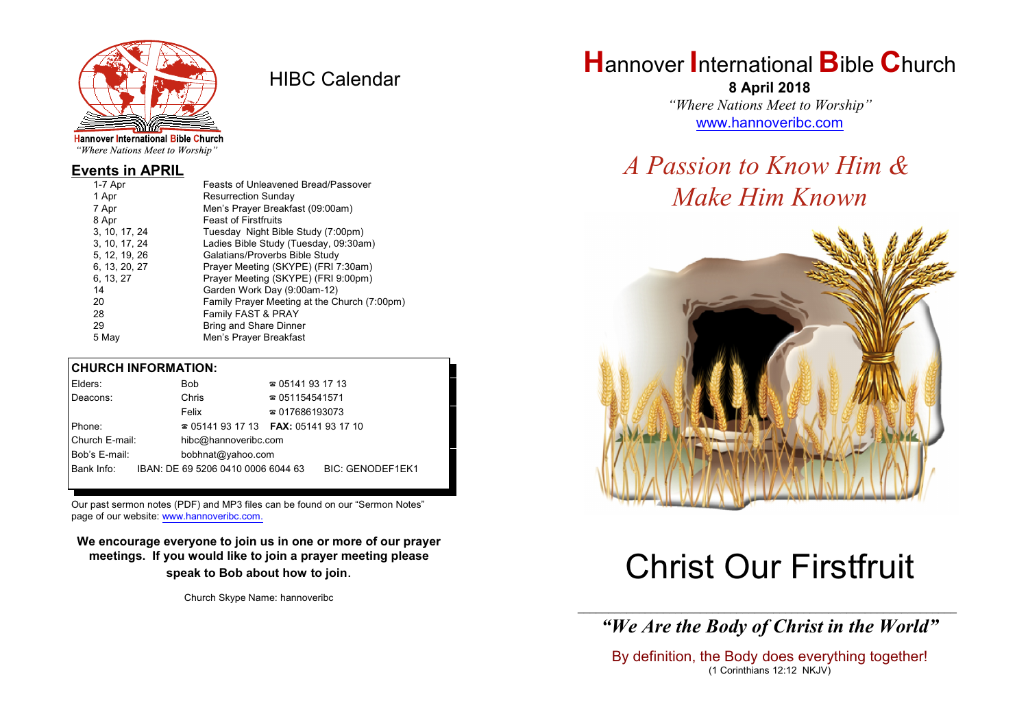

HIBC Calendar

"Where Nations Meet to Worship"

#### **Events in APRIL**

| 1-7 Apr       | Feasts of Unleavened Bread/Passover          |
|---------------|----------------------------------------------|
| 1 Apr         | <b>Resurrection Sunday</b>                   |
| 7 Apr         | Men's Prayer Breakfast (09:00am)             |
| 8 Apr         | <b>Feast of Firstfruits</b>                  |
| 3, 10, 17, 24 | Tuesday Night Bible Study (7:00pm)           |
| 3, 10, 17, 24 | Ladies Bible Study (Tuesday, 09:30am)        |
| 5, 12, 19, 26 | Galatians/Proverbs Bible Study               |
| 6, 13, 20, 27 | Prayer Meeting (SKYPE) (FRI 7:30am)          |
| 6, 13, 27     | Prayer Meeting (SKYPE) (FRI 9:00pm)          |
| 14            | Garden Work Day (9:00am-12)                  |
| 20            | Family Prayer Meeting at the Church (7:00pm) |
| 28            | Family FAST & PRAY                           |
| 29            | Bring and Share Dinner                       |
| 5 May         | Men's Prayer Breakfast                       |
|               |                                              |

#### **CHURCH INFORMATION:**

| Elders:        | <b>Bob</b>                               | $\approx 05141931713$  |                         |
|----------------|------------------------------------------|------------------------|-------------------------|
| Deacons:       | Chris                                    | $\approx 051154541571$ |                         |
|                | Felix                                    | $\approx 017686193073$ |                         |
| Phone:         | $\approx 05141931713$ FAX: 0514193 17 10 |                        |                         |
| Church E-mail: | hibc@hannoveribc.com                     |                        |                         |
| Bob's E-mail:  | bobhnat@yahoo.com                        |                        |                         |
| Bank Info:     | IBAN: DE 69 5206 0410 0006 6044 63       |                        | <b>BIC: GENODEF1EK1</b> |

Our past sermon notes (PDF) and MP3 files can be found on our "Sermon Notes" page of our website: [www.hannoveribc.com.](http://www.hannoveribc.com.)

**We encourage everyone to join us in one or more of our prayer meetings. If you would like to join a prayer meeting please speak to Bob about how to join**.

Church Skype Name: hannoveribc

## **H**annover **I**nternational **B**ible **C**hurch

**8 April 2018** *"Where Nations Meet to Worship"* [www.hannoveribc.com](http://www.hannoveribc.com)

## *A Passion to Know Him & Make Him Known*



# Christ Our Firstfruit

\_\_\_\_\_\_\_\_\_\_\_\_\_\_\_\_\_\_\_\_\_\_\_\_\_\_\_\_\_\_\_\_\_\_\_\_\_\_\_\_\_\_\_\_\_\_\_\_\_\_\_\_\_\_\_\_\_\_\_\_\_\_ *"We Are the Body of Christ in the World"*

By definition, the Body does everything together! (1 Corinthians 12:12 NKJV)